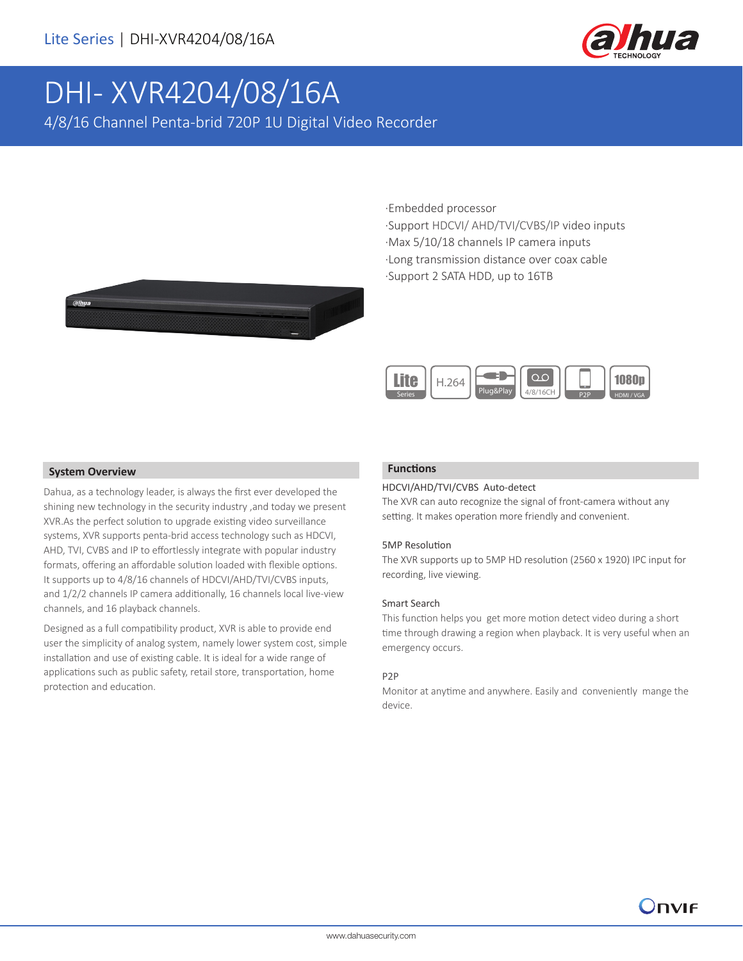

# DHI- XVR4204/08/16A

4/8/16 Channel Penta-brid 720P 1U Digital Video Recorder

·Embedded processor

·Support HDCVI/ AHD/TVI/CVBS/IP video inputs ·Max 5/10/18 channels IP camera inputs ·Long transmission distance over coax cable ·Support 2 SATA HDD, up to 16TB





#### **System Overview**

Dahua, as a technology leader, is always the first ever developed the shining new technology in the security industry ,and today we present XVR.As the perfect solution to upgrade existing video surveillance systems, XVR supports penta-brid access technology such as HDCVI, AHD, TVI, CVBS and IP to effortlessly integrate with popular industry formats, offering an affordable solution loaded with flexible options. It supports up to 4/8/16 channels of HDCVI/AHD/TVI/CVBS inputs, and 1/2/2 channels IP camera additionally, 16 channels local live-view channels, and 16 playback channels.

Designed as a full compatibility product, XVR is able to provide end user the simplicity of analog system, namely lower system cost, simple installation and use of existing cable. It is ideal for a wide range of applications such as public safety, retail store, transportation, home protection and education.

#### **Functions**

#### HDCVI/AHD/TVI/CVBS Auto-detect

The XVR can auto recognize the signal of front-camera without any setting. It makes operation more friendly and convenient.

#### 5MP Resolution

The XVR supports up to 5MP HD resolution (2560 x 1920) IPC input for recording, live viewing.

#### Smart Search

This function helps you get more motion detect video during a short time through drawing a region when playback. It is very useful when an emergency occurs.

#### P2P

Monitor at anytime and anywhere. Easily and conveniently mange the device.

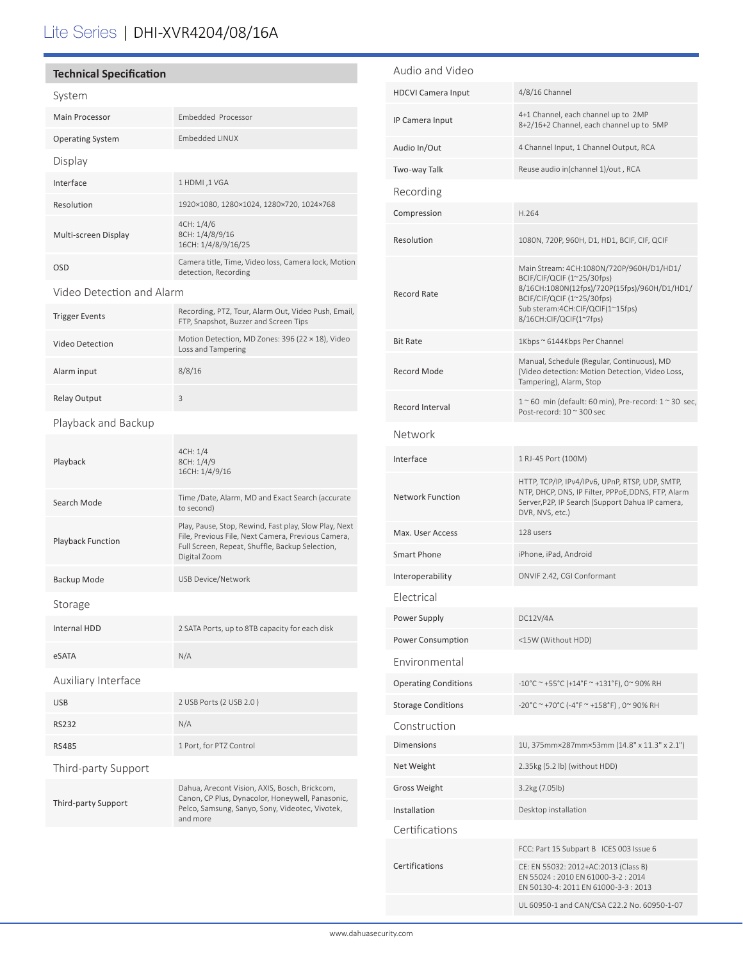## Lite Series | DHI-XVR4204/08/16A

#### **Technical Specification**

| System                    |                                                                                                                                                                                |  |
|---------------------------|--------------------------------------------------------------------------------------------------------------------------------------------------------------------------------|--|
| Main Processor            | Embedded Processor                                                                                                                                                             |  |
| <b>Operating System</b>   | Embedded LINUX                                                                                                                                                                 |  |
| Display                   |                                                                                                                                                                                |  |
| Interface                 | 1 HDMI, 1 VGA                                                                                                                                                                  |  |
| Resolution                | 1920×1080, 1280×1024, 1280×720, 1024×768                                                                                                                                       |  |
| Multi-screen Display      | 4CH: 1/4/6<br>8CH: 1/4/8/9/16<br>16CH: 1/4/8/9/16/25                                                                                                                           |  |
| <b>OSD</b>                | Camera title, Time, Video loss, Camera lock, Motion<br>detection, Recording                                                                                                    |  |
| Video Detection and Alarm |                                                                                                                                                                                |  |
| <b>Trigger Events</b>     | Recording, PTZ, Tour, Alarm Out, Video Push, Email,<br>FTP, Snapshot, Buzzer and Screen Tips                                                                                   |  |
| Video Detection           | Motion Detection, MD Zones: 396 (22 × 18), Video<br>Loss and Tampering                                                                                                         |  |
| Alarm input               | 8/8/16                                                                                                                                                                         |  |
| <b>Relay Output</b>       | 3                                                                                                                                                                              |  |
| Playback and Backup       |                                                                                                                                                                                |  |
| Playback                  | 4CH: 1/4<br>8CH: 1/4/9<br>16CH: 1/4/9/16                                                                                                                                       |  |
| Search Mode               | Time /Date, Alarm, MD and Exact Search (accurate<br>to second)                                                                                                                 |  |
| Playback Function         | Play, Pause, Stop, Rewind, Fast play, Slow Play, Next<br>File, Previous File, Next Camera, Previous Camera,<br>Full Screen, Repeat, Shuffle, Backup Selection,<br>Digital Zoom |  |
| Backup Mode               | <b>USB Device/Network</b>                                                                                                                                                      |  |
| Storage                   |                                                                                                                                                                                |  |
| Internal HDD              | 2 SATA Ports, up to 8TB capacity for each disk                                                                                                                                 |  |
| eSATA                     | N/A                                                                                                                                                                            |  |
| Auxiliary Interface       |                                                                                                                                                                                |  |
| <b>USB</b>                | 2 USB Ports (2 USB 2.0)                                                                                                                                                        |  |
| <b>RS232</b>              | N/A                                                                                                                                                                            |  |
| RS485                     | 1 Port, for PTZ Control                                                                                                                                                        |  |
| Third-party Support       |                                                                                                                                                                                |  |
| Third-party Support       | Dahua, Arecont Vision, AXIS, Bosch, Brickcom,<br>Canon, CP Plus, Dynacolor, Honeywell, Panasonic,<br>Pelco, Samsung, Sanyo, Sony, Videotec, Vivotek,<br>and more               |  |
|                           |                                                                                                                                                                                |  |

| Audio and Video             |                                                                                                                                                                                                                     |
|-----------------------------|---------------------------------------------------------------------------------------------------------------------------------------------------------------------------------------------------------------------|
| <b>HDCVI Camera Input</b>   | 4/8/16 Channel                                                                                                                                                                                                      |
| IP Camera Input             | 4+1 Channel, each channel up to 2MP<br>8+2/16+2 Channel, each channel up to 5MP                                                                                                                                     |
| Audio In/Out                | 4 Channel Input, 1 Channel Output, RCA                                                                                                                                                                              |
| Two-way Talk                | Reuse audio in(channel 1)/out, RCA                                                                                                                                                                                  |
| Recording                   |                                                                                                                                                                                                                     |
| Compression                 | H.264                                                                                                                                                                                                               |
| Resolution                  | 1080N, 720P, 960H, D1, HD1, BCIF, CIF, QCIF                                                                                                                                                                         |
| Record Rate                 | Main Stream: 4CH:1080N/720P/960H/D1/HD1/<br>BCIF/CIF/QCIF (1~25/30fps)<br>8/16CH:1080N(12fps)/720P(15fps)/960H/D1/HD1/<br>BCIF/CIF/QCIF (1~25/30fps)<br>Sub steram:4CH:CIF/QCIF(1~15fps)<br>8/16CH:CIF/QCIF(1~7fps) |
| <b>Bit Rate</b>             | 1Kbps ~ 6144Kbps Per Channel                                                                                                                                                                                        |
| <b>Record Mode</b>          | Manual, Schedule (Regular, Continuous), MD<br>(Video detection: Motion Detection, Video Loss,<br>Tampering), Alarm, Stop                                                                                            |
| Record Interval             | $1^\sim$ 60 min (default: 60 min), Pre-record: $1^\sim$ 30 sec,<br>Post-record: $10 \approx 300$ sec                                                                                                                |
| Network                     |                                                                                                                                                                                                                     |
| Interface                   | 1 RJ-45 Port (100M)                                                                                                                                                                                                 |
| <b>Network Function</b>     | HTTP, TCP/IP, IPv4/IPv6, UPnP, RTSP, UDP, SMTP,<br>NTP, DHCP, DNS, IP Filter, PPPoE, DDNS, FTP, Alarm<br>Server, P2P, IP Search (Support Dahua IP camera,<br>DVR, NVS, etc.)                                        |
| Max. User Access            | 128 users                                                                                                                                                                                                           |
| <b>Smart Phone</b>          | iPhone, iPad, Android                                                                                                                                                                                               |
| Interoperability            | ONVIF 2.42, CGI Conformant                                                                                                                                                                                          |
| Electrical                  |                                                                                                                                                                                                                     |
| Power Supply                | DC12V/4A                                                                                                                                                                                                            |
| Power Consumption           | <15W (Without HDD)                                                                                                                                                                                                  |
| <b>Environmental</b>        |                                                                                                                                                                                                                     |
| <b>Operating Conditions</b> | -10°C ~ +55°C (+14°F ~ +131°F), 0~ 90% RH                                                                                                                                                                           |
| <b>Storage Conditions</b>   | -20°C ~ +70°C (-4°F ~ +158°F), 0~90% RH                                                                                                                                                                             |
| Construction                |                                                                                                                                                                                                                     |
| <b>Dimensions</b>           | 1U, 375mm×287mm×53mm (14.8" x 11.3" x 2.1")                                                                                                                                                                         |
| Net Weight                  | 2.35kg (5.2 lb) (without HDD)                                                                                                                                                                                       |
| <b>Gross Weight</b>         | 3.2kg (7.05lb)                                                                                                                                                                                                      |
| Installation                | Desktop installation                                                                                                                                                                                                |
| Certifications              |                                                                                                                                                                                                                     |
| Certifications              | FCC: Part 15 Subpart B ICES 003 Issue 6                                                                                                                                                                             |
|                             | CE: EN 55032: 2012+AC:2013 (Class B)<br>EN 55024: 2010 EN 61000-3-2: 2014<br>EN 50130-4: 2011 EN 61000-3-3: 2013                                                                                                    |
|                             | UL 60950-1 and CAN/CSA C22.2 No. 60950-1-07                                                                                                                                                                         |